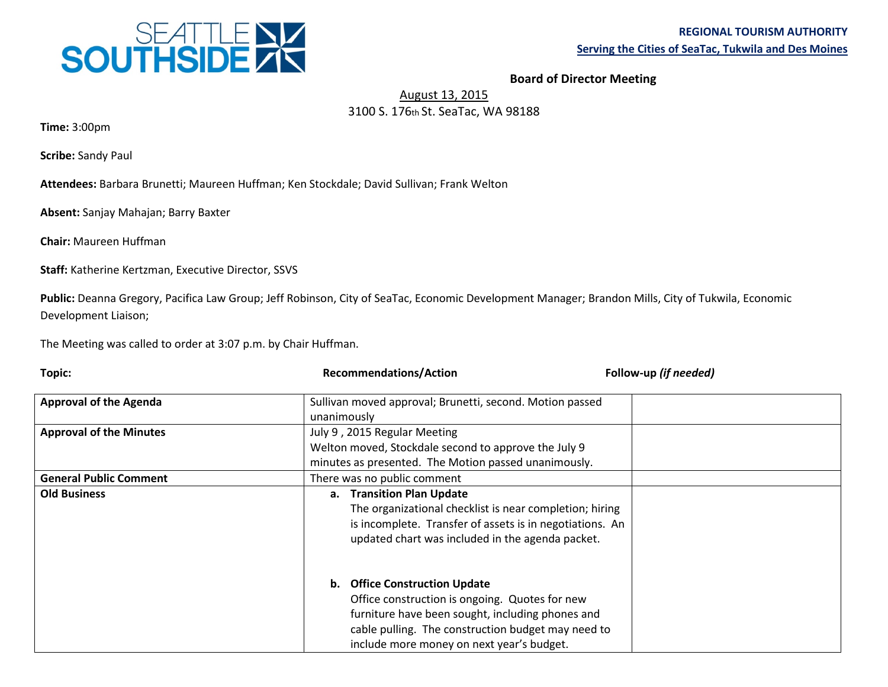

## **Board of Director Meeting**

## August 13, 2015 3100 S. 176th St. SeaTac, WA 98188

**Time:** 3:00pm

**Scribe:** Sandy Paul

**Attendees:** Barbara Brunetti; Maureen Huffman; Ken Stockdale; David Sullivan; Frank Welton

**Absent:** Sanjay Mahajan; Barry Baxter

**Chair:** Maureen Huffman

**Staff:** Katherine Kertzman, Executive Director, SSVS

**Public:** Deanna Gregory, Pacifica Law Group; Jeff Robinson, City of SeaTac, Economic Development Manager; Brandon Mills, City of Tukwila, Economic Development Liaison;

The Meeting was called to order at 3:07 p.m. by Chair Huffman.

| Topic:                         | <b>Recommendations/Action</b>                                                                                                                                                                                                          | Follow-up (if needed) |
|--------------------------------|----------------------------------------------------------------------------------------------------------------------------------------------------------------------------------------------------------------------------------------|-----------------------|
| <b>Approval of the Agenda</b>  | Sullivan moved approval; Brunetti, second. Motion passed                                                                                                                                                                               |                       |
|                                | unanimously                                                                                                                                                                                                                            |                       |
| <b>Approval of the Minutes</b> | July 9, 2015 Regular Meeting                                                                                                                                                                                                           |                       |
|                                | Welton moved, Stockdale second to approve the July 9                                                                                                                                                                                   |                       |
|                                | minutes as presented. The Motion passed unanimously.                                                                                                                                                                                   |                       |
| <b>General Public Comment</b>  | There was no public comment                                                                                                                                                                                                            |                       |
| <b>Old Business</b>            | a. Transition Plan Update<br>The organizational checklist is near completion; hiring<br>is incomplete. Transfer of assets is in negotiations. An<br>updated chart was included in the agenda packet.                                   |                       |
|                                | b. Office Construction Update<br>Office construction is ongoing. Quotes for new<br>furniture have been sought, including phones and<br>cable pulling. The construction budget may need to<br>include more money on next year's budget. |                       |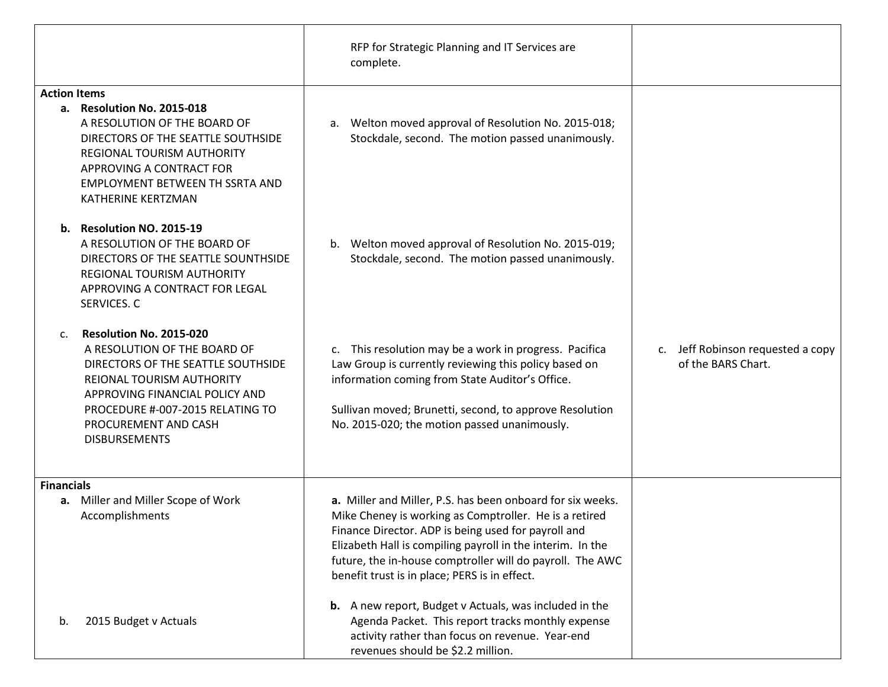|                                                                                                                                                                                                                                                                        | RFP for Strategic Planning and IT Services are<br>complete.                                                                                                                                                                                                                                                                                             |                                                                        |
|------------------------------------------------------------------------------------------------------------------------------------------------------------------------------------------------------------------------------------------------------------------------|---------------------------------------------------------------------------------------------------------------------------------------------------------------------------------------------------------------------------------------------------------------------------------------------------------------------------------------------------------|------------------------------------------------------------------------|
| <b>Action Items</b><br>a. Resolution No. 2015-018<br>A RESOLUTION OF THE BOARD OF<br>DIRECTORS OF THE SEATTLE SOUTHSIDE<br><b>REGIONAL TOURISM AUTHORITY</b><br>APPROVING A CONTRACT FOR<br><b>EMPLOYMENT BETWEEN TH SSRTA AND</b><br>KATHERINE KERTZMAN               | Welton moved approval of Resolution No. 2015-018;<br>a.<br>Stockdale, second. The motion passed unanimously.                                                                                                                                                                                                                                            |                                                                        |
| Resolution NO. 2015-19<br>b.<br>A RESOLUTION OF THE BOARD OF<br>DIRECTORS OF THE SEATTLE SOUNTHSIDE<br>REGIONAL TOURISM AUTHORITY<br>APPROVING A CONTRACT FOR LEGAL<br>SERVICES. C                                                                                     | b.<br>Welton moved approval of Resolution No. 2015-019;<br>Stockdale, second. The motion passed unanimously.                                                                                                                                                                                                                                            |                                                                        |
| Resolution No. 2015-020<br>$C_{\cdot}$<br>A RESOLUTION OF THE BOARD OF<br>DIRECTORS OF THE SEATTLE SOUTHSIDE<br><b>REIONAL TOURISM AUTHORITY</b><br>APPROVING FINANCIAL POLICY AND<br>PROCEDURE #-007-2015 RELATING TO<br>PROCUREMENT AND CASH<br><b>DISBURSEMENTS</b> | c. This resolution may be a work in progress. Pacifica<br>Law Group is currently reviewing this policy based on<br>information coming from State Auditor's Office.<br>Sullivan moved; Brunetti, second, to approve Resolution<br>No. 2015-020; the motion passed unanimously.                                                                           | Jeff Robinson requested a copy<br>$\mathsf{C}$ .<br>of the BARS Chart. |
| <b>Financials</b><br>a. Miller and Miller Scope of Work<br>Accomplishments                                                                                                                                                                                             | a. Miller and Miller, P.S. has been onboard for six weeks.<br>Mike Cheney is working as Comptroller. He is a retired<br>Finance Director. ADP is being used for payroll and<br>Elizabeth Hall is compiling payroll in the interim. In the<br>future, the in-house comptroller will do payroll. The AWC<br>benefit trust is in place; PERS is in effect. |                                                                        |
| 2015 Budget v Actuals<br>b.                                                                                                                                                                                                                                            | <b>b.</b> A new report, Budget v Actuals, was included in the<br>Agenda Packet. This report tracks monthly expense<br>activity rather than focus on revenue. Year-end<br>revenues should be \$2.2 million.                                                                                                                                              |                                                                        |